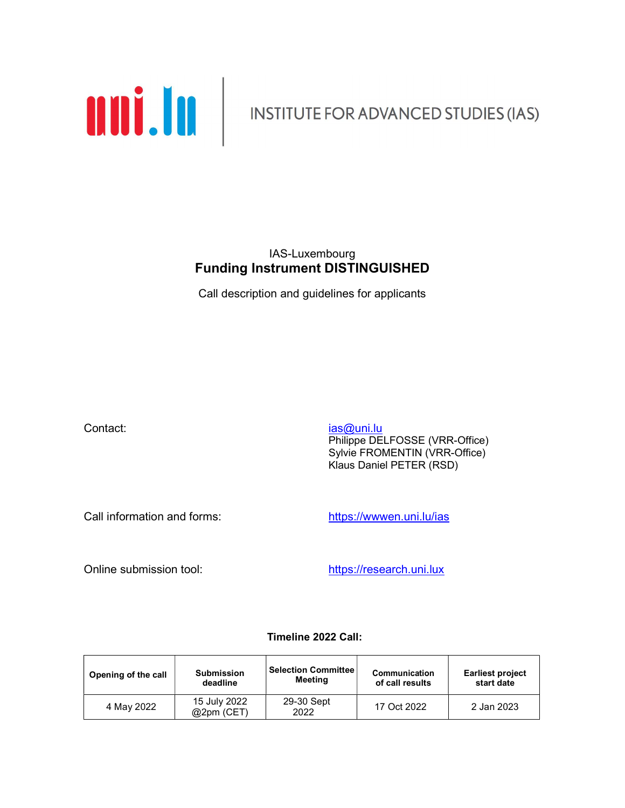

### IAS-Luxembourg Funding Instrument DISTINGUISHED

Call description and guidelines for applicants

**Contact:** ias and its interval of the contact: ias and its interval of the contact: Philippe DELFOSSE (VRR-Office) Sylvie FROMENTIN (VRR-Office) Klaus Daniel PETER (RSD)

Call information and forms: https://wwwen.uni.lu/ias

Online submission tool: https://research.uni.lux

### Timeline 2022 Call:

| Opening of the call | <b>Submission</b>                                | <b>Selection Committee</b> | Communication   | <b>Earliest project</b> |
|---------------------|--------------------------------------------------|----------------------------|-----------------|-------------------------|
|                     | deadline                                         | Meeting                    | of call results | start date              |
| 4 May 2022          | 29-30 Sept<br>15 July 2022<br>@2pm (CET)<br>2022 |                            | 17 Oct 2022     | 2 Jan 2023              |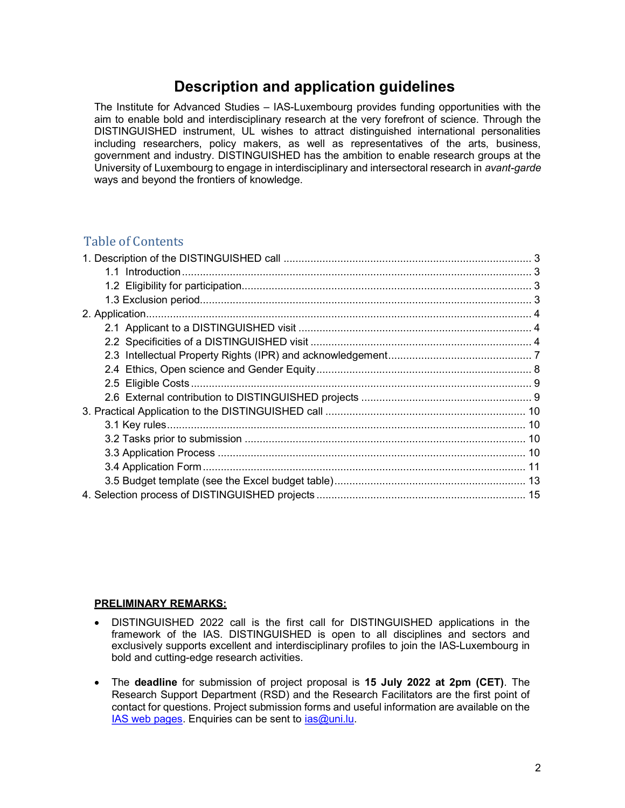# Description and application guidelines

The Institute for Advanced Studies – IAS-Luxembourg provides funding opportunities with the aim to enable bold and interdisciplinary research at the very forefront of science. Through the DISTINGUISHED instrument, UL wishes to attract distinguished international personalities including researchers, policy makers, as well as representatives of the arts, business, government and industry. DISTINGUISHED has the ambition to enable research groups at the University of Luxembourg to engage in interdisciplinary and intersectoral research in avant-garde ways and beyond the frontiers of knowledge.

### Table of Contents

#### PRELIMINARY REMARKS:

- DISTINGUISHED 2022 call is the first call for DISTINGUISHED applications in the framework of the IAS. DISTINGUISHED is open to all disciplines and sectors and exclusively supports excellent and interdisciplinary profiles to join the IAS-Luxembourg in bold and cutting-edge research activities.
- The deadline for submission of project proposal is 15 July 2022 at 2pm (CET). The Research Support Department (RSD) and the Research Facilitators are the first point of contact for questions. Project submission forms and useful information are available on the IAS web pages. Enquiries can be sent to ias@uni.lu.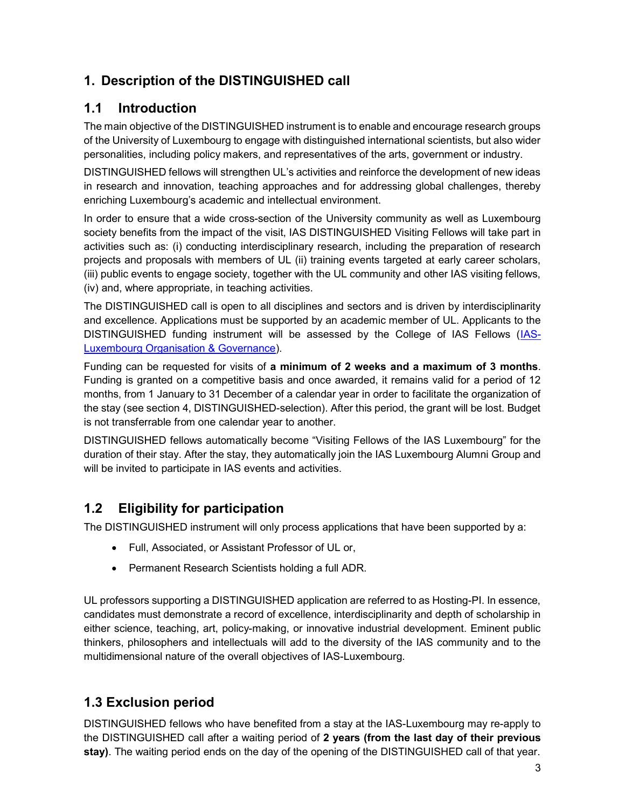# 1. Description of the DISTINGUISHED call

# 1.1 Introduction

The main objective of the DISTINGUISHED instrument is to enable and encourage research groups of the University of Luxembourg to engage with distinguished international scientists, but also wider personalities, including policy makers, and representatives of the arts, government or industry.

DISTINGUISHED fellows will strengthen UL's activities and reinforce the development of new ideas in research and innovation, teaching approaches and for addressing global challenges, thereby enriching Luxembourg's academic and intellectual environment.

In order to ensure that a wide cross-section of the University community as well as Luxembourg society benefits from the impact of the visit, IAS DISTINGUISHED Visiting Fellows will take part in activities such as: (i) conducting interdisciplinary research, including the preparation of research projects and proposals with members of UL (ii) training events targeted at early career scholars, (iii) public events to engage society, together with the UL community and other IAS visiting fellows, (iv) and, where appropriate, in teaching activities.

The DISTINGUISHED call is open to all disciplines and sectors and is driven by interdisciplinarity and excellence. Applications must be supported by an academic member of UL. Applicants to the DISTINGUISHED funding instrument will be assessed by the College of IAS Fellows (IAS-**Luxembourg Organisation & Governance).** 

Funding can be requested for visits of a minimum of 2 weeks and a maximum of 3 months. Funding is granted on a competitive basis and once awarded, it remains valid for a period of 12 months, from 1 January to 31 December of a calendar year in order to facilitate the organization of the stay (see section 4, DISTINGUISHED-selection). After this period, the grant will be lost. Budget is not transferrable from one calendar year to another.

DISTINGUISHED fellows automatically become "Visiting Fellows of the IAS Luxembourg" for the duration of their stay. After the stay, they automatically join the IAS Luxembourg Alumni Group and will be invited to participate in IAS events and activities.

# 1.2 Eligibility for participation

The DISTINGUISHED instrument will only process applications that have been supported by a:

- Full, Associated, or Assistant Professor of UL or,
- Permanent Research Scientists holding a full ADR.

UL professors supporting a DISTINGUISHED application are referred to as Hosting-PI. In essence, candidates must demonstrate a record of excellence, interdisciplinarity and depth of scholarship in either science, teaching, art, policy-making, or innovative industrial development. Eminent public thinkers, philosophers and intellectuals will add to the diversity of the IAS community and to the multidimensional nature of the overall objectives of IAS-Luxembourg.

# 1.3 Exclusion period

DISTINGUISHED fellows who have benefited from a stay at the IAS-Luxembourg may re-apply to the DISTINGUISHED call after a waiting period of 2 years (from the last day of their previous stay). The waiting period ends on the day of the opening of the DISTINGUISHED call of that year.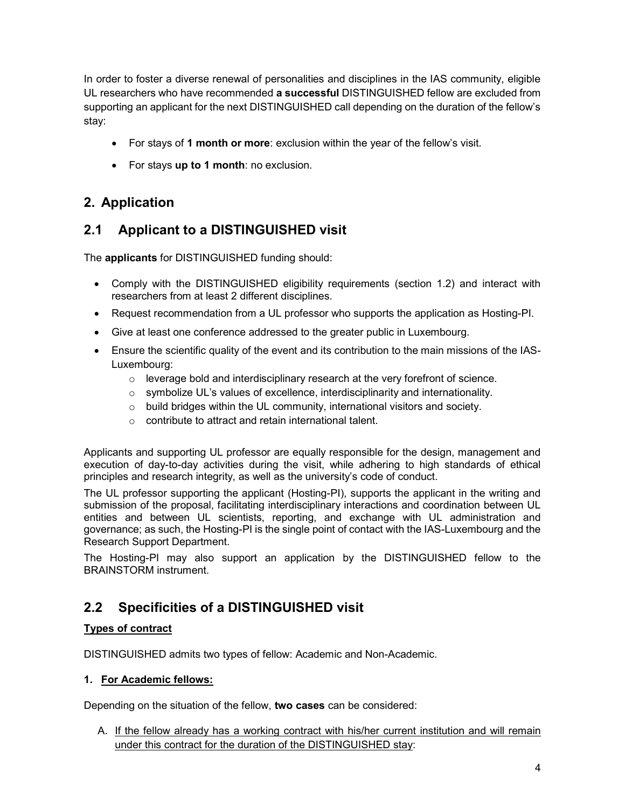In order to foster a diverse renewal of personalities and disciplines in the IAS community, eligible UL researchers who have recommended a successful DISTINGUISHED fellow are excluded from supporting an applicant for the next DISTINGUISHED call depending on the duration of the fellow's stay:

- For stays of 1 month or more: exclusion within the year of the fellow's visit.
- For stays up to 1 month: no exclusion.

# 2. Application

## 2.1 Applicant to a DISTINGUISHED visit

The applicants for DISTINGUISHED funding should:

- Comply with the DISTINGUISHED eligibility requirements (section 1.2) and interact with researchers from at least 2 different disciplines.
- Request recommendation from a UL professor who supports the application as Hosting-PI.
- Give at least one conference addressed to the greater public in Luxembourg.
- Ensure the scientific quality of the event and its contribution to the main missions of the IAS-Luxembourg:
	- $\circ$  leverage bold and interdisciplinary research at the very forefront of science.
	- o symbolize UL's values of excellence, interdisciplinarity and internationality.
	- o build bridges within the UL community, international visitors and society.
	- o contribute to attract and retain international talent.

Applicants and supporting UL professor are equally responsible for the design, management and execution of day-to-day activities during the visit, while adhering to high standards of ethical principles and research integrity, as well as the university's code of conduct.

The UL professor supporting the applicant (Hosting-PI), supports the applicant in the writing and submission of the proposal, facilitating interdisciplinary interactions and coordination between UL entities and between UL scientists, reporting, and exchange with UL administration and governance; as such, the Hosting-PI is the single point of contact with the IAS-Luxembourg and the Research Support Department.

The Hosting-PI may also support an application by the DISTINGUISHED fellow to the BRAINSTORM instrument.

## 2.2 Specificities of a DISTINGUISHED visit

### Types of contract

DISTINGUISHED admits two types of fellow: Academic and Non-Academic.

### 1. For Academic fellows:

Depending on the situation of the fellow, two cases can be considered:

A. If the fellow already has a working contract with his/her current institution and will remain under this contract for the duration of the DISTINGUISHED stay: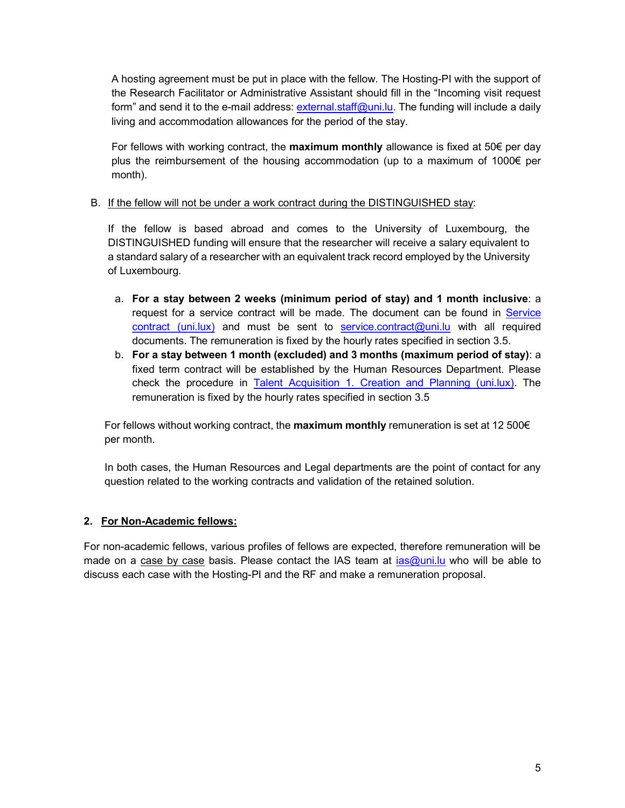A hosting agreement must be put in place with the fellow. The Hosting-PI with the support of the Research Facilitator or Administrative Assistant should fill in the "Incoming visit request form" and send it to the e-mail address: external.staff@uni.lu. The funding will include a daily living and accommodation allowances for the period of the stay.

For fellows with working contract, the **maximum monthly** allowance is fixed at  $50 \epsilon$  per day plus the reimbursement of the housing accommodation (up to a maximum of 1000€ per month).

### B. If the fellow will not be under a work contract during the DISTINGUISHED stay:

If the fellow is based abroad and comes to the University of Luxembourg, the DISTINGUISHED funding will ensure that the researcher will receive a salary equivalent to a standard salary of a researcher with an equivalent track record employed by the University of Luxembourg.

- a. For a stay between 2 weeks (minimum period of stay) and 1 month inclusive: a request for a service contract will be made. The document can be found in Service contract (uni.lux) and must be sent to service.contract@uni.lu with all required documents. The remuneration is fixed by the hourly rates specified in section 3.5.
- b. For a stay between 1 month (excluded) and 3 months (maximum period of stay): a fixed term contract will be established by the Human Resources Department. Please check the procedure in Talent Acquisition 1. Creation and Planning (uni.lux). The remuneration is fixed by the hourly rates specified in section 3.5

For fellows without working contract, the **maximum monthly** remuneration is set at 12 500 $\epsilon$ per month.

In both cases, the Human Resources and Legal departments are the point of contact for any question related to the working contracts and validation of the retained solution.

### 2. For Non-Academic fellows:

For non-academic fellows, various profiles of fellows are expected, therefore remuneration will be made on a case by case basis. Please contact the IAS team at ias@uni.lu who will be able to discuss each case with the Hosting-PI and the RF and make a remuneration proposal.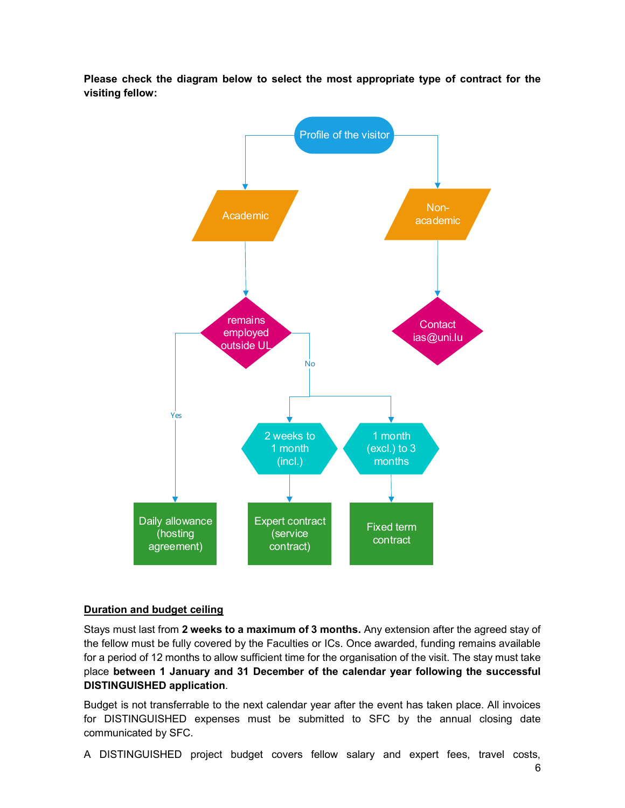Please check the diagram below to select the most appropriate type of contract for the visiting fellow:



### Duration and budget ceiling

Stays must last from 2 weeks to a maximum of 3 months. Any extension after the agreed stay of the fellow must be fully covered by the Faculties or ICs. Once awarded, funding remains available for a period of 12 months to allow sufficient time for the organisation of the visit. The stay must take place between 1 January and 31 December of the calendar year following the successful DISTINGUISHED application.

Budget is not transferrable to the next calendar year after the event has taken place. All invoices for DISTINGUISHED expenses must be submitted to SFC by the annual closing date communicated by SFC.

A DISTINGUISHED project budget covers fellow salary and expert fees, travel costs,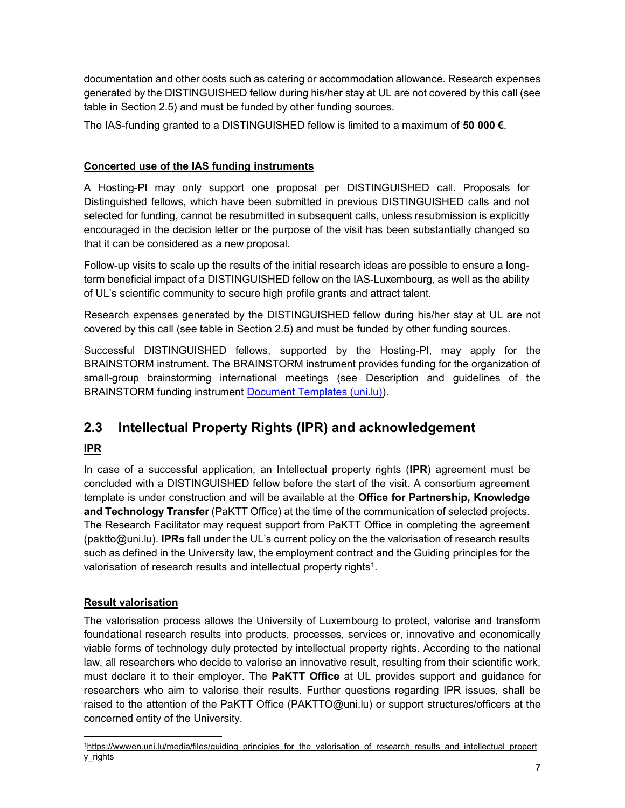documentation and other costs such as catering or accommodation allowance. Research expenses generated by the DISTINGUISHED fellow during his/her stay at UL are not covered by this call (see table in Section 2.5) and must be funded by other funding sources.

The IAS-funding granted to a DISTINGUISHED fellow is limited to a maximum of 50 000  $\epsilon$ .

### Concerted use of the IAS funding instruments

A Hosting-PI may only support one proposal per DISTINGUISHED call. Proposals for Distinguished fellows, which have been submitted in previous DISTINGUISHED calls and not selected for funding, cannot be resubmitted in subsequent calls, unless resubmission is explicitly encouraged in the decision letter or the purpose of the visit has been substantially changed so that it can be considered as a new proposal.

Follow-up visits to scale up the results of the initial research ideas are possible to ensure a longterm beneficial impact of a DISTINGUISHED fellow on the IAS-Luxembourg, as well as the ability of UL's scientific community to secure high profile grants and attract talent.

Research expenses generated by the DISTINGUISHED fellow during his/her stay at UL are not covered by this call (see table in Section 2.5) and must be funded by other funding sources.

Successful DISTINGUISHED fellows, supported by the Hosting-PI, may apply for the BRAINSTORM instrument. The BRAINSTORM instrument provides funding for the organization of small-group brainstorming international meetings (see Description and guidelines of the BRAINSTORM funding instrument Document Templates (uni.lu)).

# 2.3 Intellectual Property Rights (IPR) and acknowledgement

## IPR

In case of a successful application, an Intellectual property rights (IPR) agreement must be concluded with a DISTINGUISHED fellow before the start of the visit. A consortium agreement template is under construction and will be available at the **Office for Partnership, Knowledge** and Technology Transfer (PaKTT Office) at the time of the communication of selected projects. The Research Facilitator may request support from PaKTT Office in completing the agreement (paktto@uni.lu). IPRs fall under the UL's current policy on the the valorisation of research results such as defined in the University law, the employment contract and the Guiding principles for the valorisation of research results and intellectual property rights $^4$ .

### Result valorisation

The valorisation process allows the University of Luxembourg to protect, valorise and transform foundational research results into products, processes, services or, innovative and economically viable forms of technology duly protected by intellectual property rights. According to the national law, all researchers who decide to valorise an innovative result, resulting from their scientific work, must declare it to their employer. The **PaKTT Office** at UL provides support and guidance for researchers who aim to valorise their results. Further questions regarding IPR issues, shall be raised to the attention of the PaKTT Office (PAKTTO@uni.lu) or support structures/officers at the concerned entity of the University.

<sup>-</sup>1https://wwwen.uni.lu/media/files/guiding\_principles\_for\_the\_valorisation\_of\_research\_results\_and\_intellectual\_propert y\_rights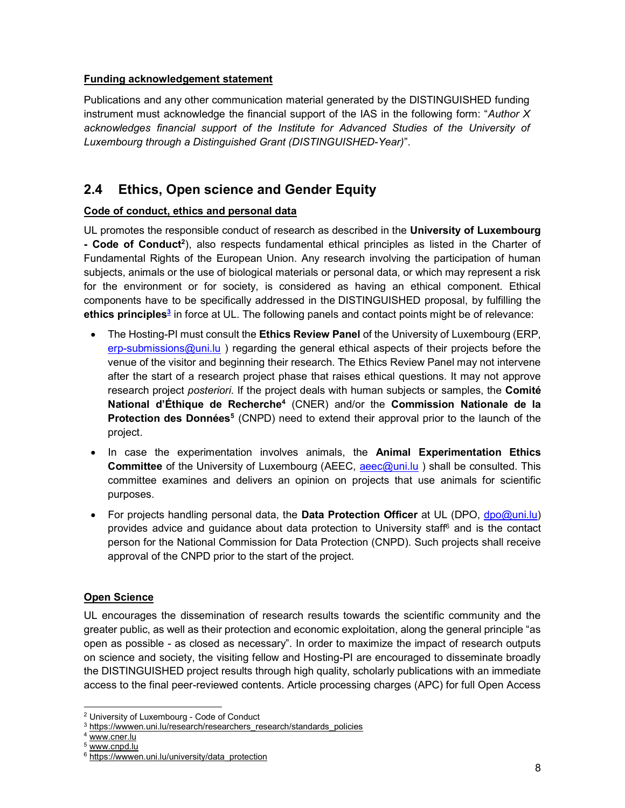### Funding acknowledgement statement

Publications and any other communication material generated by the DISTINGUISHED funding instrument must acknowledge the financial support of the IAS in the following form: "Author  $X$ acknowledges financial support of the Institute for Advanced Studies of the University of Luxembourg through a Distinguished Grant (DISTINGUISHED-Year)".

# 2.4 Ethics, Open science and Gender Equity

### Code of conduct, ethics and personal data

UL promotes the responsible conduct of research as described in the University of Luxembourg - Code of Conduct<sup>2</sup>), also respects fundamental ethical principles as listed in the Charter of Fundamental Rights of the European Union. Any research involving the participation of human subjects, animals or the use of biological materials or personal data, or which may represent a risk for the environment or for society, is considered as having an ethical component. Ethical components have to be specifically addressed in the DISTINGUISHED proposal, by fulfilling the ethics principles<sup>3</sup> in force at UL. The following panels and contact points might be of relevance:

- The Hosting-PI must consult the **Ethics Review Panel** of the University of Luxembourg (ERP, erp-submissions@uni.lu ) regarding the general ethical aspects of their projects before the venue of the visitor and beginning their research. The Ethics Review Panel may not intervene after the start of a research project phase that raises ethical questions. It may not approve research project *posteriori*. If the project deals with human subjects or samples, the **Comité** National d'Éthique de Recherche<sup>4</sup> (CNER) and/or the Commission Nationale de la Protection des Données<sup>5</sup> (CNPD) need to extend their approval prior to the launch of the project.
- In case the experimentation involves animals, the **Animal Experimentation Ethics** Committee of the University of Luxembourg (AEEC, aeec@uni.lu ) shall be consulted. This committee examines and delivers an opinion on projects that use animals for scientific purposes.
- For projects handling personal data, the **Data Protection Officer** at UL (DPO, dpo@uni.lu) provides advice and guidance about data protection to University staff<sup>6</sup> and is the contact person for the National Commission for Data Protection (CNPD). Such projects shall receive approval of the CNPD prior to the start of the project.

### Open Science

UL encourages the dissemination of research results towards the scientific community and the greater public, as well as their protection and economic exploitation, along the general principle "as open as possible - as closed as necessary". In order to maximize the impact of research outputs on science and society, the visiting fellow and Hosting-PI are encouraged to disseminate broadly the DISTINGUISHED project results through high quality, scholarly publications with an immediate access to the final peer-reviewed contents. Article processing charges (APC) for full Open Access

l <sup>2</sup> University of Luxembourg - Code of Conduct

<sup>&</sup>lt;sup>3</sup> https://wwwen.uni.lu/research/researchers\_research/standards\_policies

<sup>4</sup> www.cner.lu

<sup>&</sup>lt;sup>5</sup> www.cnpd.lu

<sup>&</sup>lt;sup>6</sup> https://wwwen.uni.lu/university/data\_protection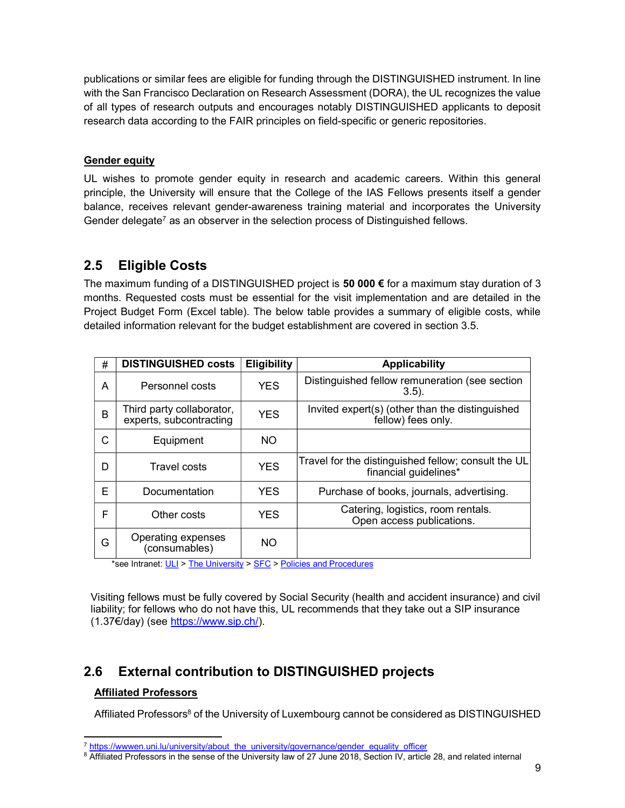publications or similar fees are eligible for funding through the DISTINGUISHED instrument. In line with the San Francisco Declaration on Research Assessment (DORA), the UL recognizes the value of all types of research outputs and encourages notably DISTINGUISHED applicants to deposit research data according to the FAIR principles on field-specific or generic repositories.

### Gender equity

UL wishes to promote gender equity in research and academic careers. Within this general principle, the University will ensure that the College of the IAS Fellows presents itself a gender balance, receives relevant gender-awareness training material and incorporates the University Gender delegate<sup>7</sup> as an observer in the selection process of Distinguished fellows.

## 2.5 Eligible Costs

The maximum funding of a DISTINGUISHED project is 50 000 € for a maximum stay duration of 3 months. Requested costs must be essential for the visit implementation and are detailed in the Project Budget Form (Excel table). The below table provides a summary of eligible costs, while detailed information relevant for the budget establishment are covered in section 3.5.

| # | <b>DISTINGUISHED costs</b>                           | <b>Eligibility</b> | <b>Applicability</b>                                                         |
|---|------------------------------------------------------|--------------------|------------------------------------------------------------------------------|
| A | Personnel costs                                      | <b>YES</b>         | Distinguished fellow remuneration (see section<br>$(3.5)$ .                  |
| B | Third party collaborator,<br>experts, subcontracting | <b>YES</b>         | Invited expert(s) (other than the distinguished<br>fellow) fees only.        |
| C | Equipment                                            | NO.                |                                                                              |
| D | Travel costs                                         | <b>YES</b>         | Travel for the distinguished fellow; consult the UL<br>financial guidelines* |
| F | Documentation                                        | <b>YES</b>         | Purchase of books, journals, advertising.                                    |
| F | Other costs                                          | <b>YES</b>         | Catering, logistics, room rentals.<br>Open access publications.              |
| G | Operating expenses<br>(consumables)                  | NO.                |                                                                              |

\*see Intranet: ULI > The University > SFC > Policies and Procedures

Visiting fellows must be fully covered by Social Security (health and accident insurance) and civil liability; for fellows who do not have this, UL recommends that they take out a SIP insurance (1.37€/day) (see https://www.sip.ch/).

# 2.6 External contribution to DISTINGUISHED projects

### Affiliated Professors

-

Affiliated Professors<sup>8</sup> of the University of Luxembourg cannot be considered as DISTINGUISHED

<sup>&</sup>lt;sup>7</sup> https://wwwen.uni.lu/university/about\_the\_university/governance/gender\_equality\_officer

 $^8$  Affiliated Professors in the sense of the University law of 27 June 2018, Section IV, article 28, and related internal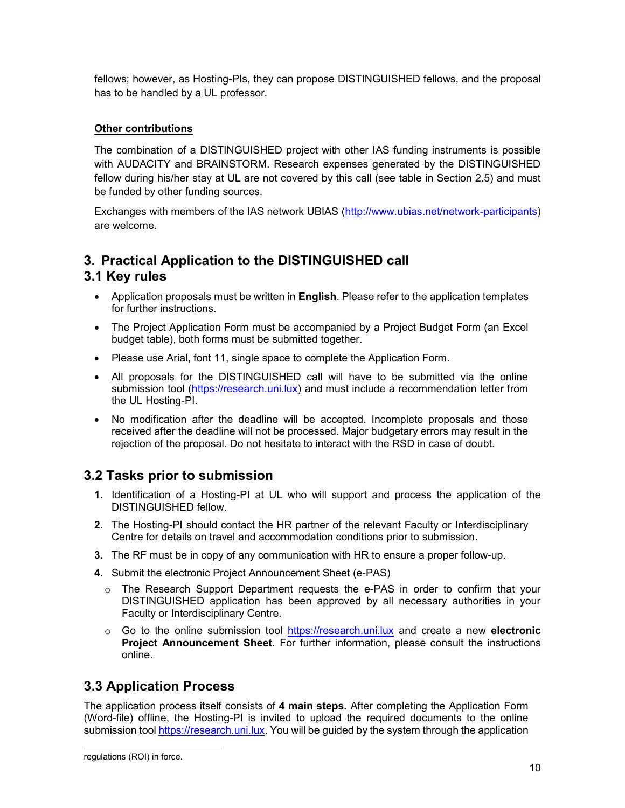fellows; however, as Hosting-PIs, they can propose DISTINGUISHED fellows, and the proposal has to be handled by a UL professor.

### **Other contributions**

The combination of a DISTINGUISHED project with other IAS funding instruments is possible with AUDACITY and BRAINSTORM. Research expenses generated by the DISTINGUISHED fellow during his/her stay at UL are not covered by this call (see table in Section 2.5) and must be funded by other funding sources.

Exchanges with members of the IAS network UBIAS (http://www.ubias.net/network-participants) are welcome.

## 3. Practical Application to the DISTINGUISHED call 3.1 Key rules

- Application proposals must be written in **English**. Please refer to the application templates for further instructions.
- The Project Application Form must be accompanied by a Project Budget Form (an Excel budget table), both forms must be submitted together.
- Please use Arial, font 11, single space to complete the Application Form.
- All proposals for the DISTINGUISHED call will have to be submitted via the online submission tool (https://research.uni.lux) and must include a recommendation letter from the UL Hosting-PI.
- No modification after the deadline will be accepted. Incomplete proposals and those received after the deadline will not be processed. Major budgetary errors may result in the rejection of the proposal. Do not hesitate to interact with the RSD in case of doubt.

## 3.2 Tasks prior to submission

- 1. Identification of a Hosting-PI at UL who will support and process the application of the DISTINGUISHED fellow.
- 2. The Hosting-PI should contact the HR partner of the relevant Faculty or Interdisciplinary Centre for details on travel and accommodation conditions prior to submission.
- 3. The RF must be in copy of any communication with HR to ensure a proper follow-up.
- 4. Submit the electronic Project Announcement Sheet (e-PAS)
	- o The Research Support Department requests the e-PAS in order to confirm that your DISTINGUISHED application has been approved by all necessary authorities in your Faculty or Interdisciplinary Centre.
	- $\circ$  Go to the online submission tool https://research.uni.lux and create a new electronic Project Announcement Sheet. For further information, please consult the instructions online.

## 3.3 Application Process

The application process itself consists of 4 main steps. After completing the Application Form (Word-file) offline, the Hosting-PI is invited to upload the required documents to the online submission tool https://research.uni.lux. You will be guided by the system through the application

l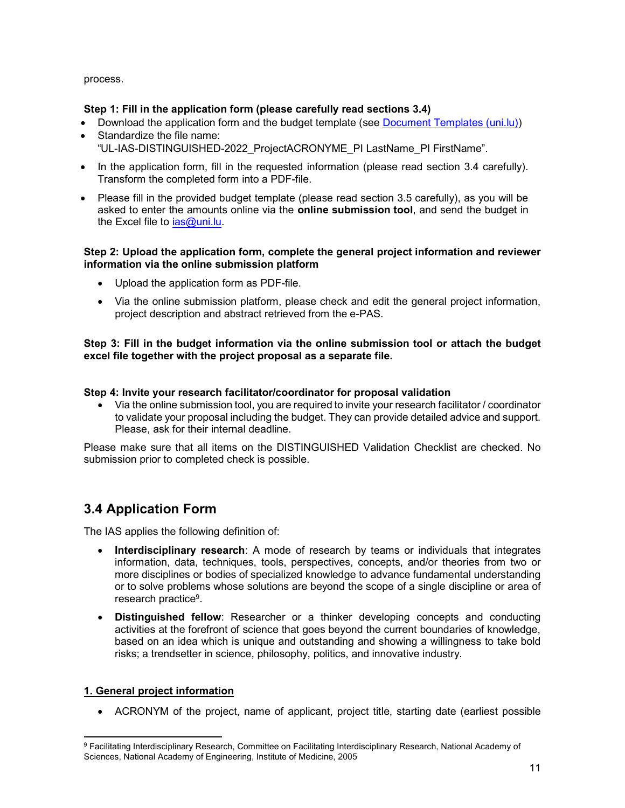process.

### Step 1: Fill in the application form (please carefully read sections 3.4)

- Download the application form and the budget template (see Document Templates (uni.lu))
- Standardize the file name: "UL-IAS-DISTINGUISHED-2022\_ProjectACRONYME\_PI LastName\_PI FirstName".
- In the application form, fill in the requested information (please read section 3.4 carefully). Transform the completed form into a PDF-file.
- Please fill in the provided budget template (please read section 3.5 carefully), as you will be asked to enter the amounts online via the **online submission tool**, and send the budget in the Excel file to *ias@uni.lu.*

#### Step 2: Upload the application form, complete the general project information and reviewer information via the online submission platform

- Upload the application form as PDF-file.
- Via the online submission platform, please check and edit the general project information, project description and abstract retrieved from the e-PAS.

### Step 3: Fill in the budget information via the online submission tool or attach the budget excel file together with the project proposal as a separate file.

### Step 4: Invite your research facilitator/coordinator for proposal validation

 Via the online submission tool, you are required to invite your research facilitator / coordinator to validate your proposal including the budget. They can provide detailed advice and support. Please, ask for their internal deadline.

Please make sure that all items on the DISTINGUISHED Validation Checklist are checked. No submission prior to completed check is possible.

## 3.4 Application Form

The IAS applies the following definition of:

- Interdisciplinary research: A mode of research by teams or individuals that integrates information, data, techniques, tools, perspectives, concepts, and/or theories from two or more disciplines or bodies of specialized knowledge to advance fundamental understanding or to solve problems whose solutions are beyond the scope of a single discipline or area of research practice<sup>9</sup> .
- Distinguished fellow: Researcher or a thinker developing concepts and conducting activities at the forefront of science that goes beyond the current boundaries of knowledge, based on an idea which is unique and outstanding and showing a willingness to take bold risks; a trendsetter in science, philosophy, politics, and innovative industry.

### 1. General project information

-

ACRONYM of the project, name of applicant, project title, starting date (earliest possible

<sup>&</sup>lt;sup>9</sup> Facilitating Interdisciplinary Research, Committee on Facilitating Interdisciplinary Research, National Academy of Sciences, National Academy of Engineering, Institute of Medicine, 2005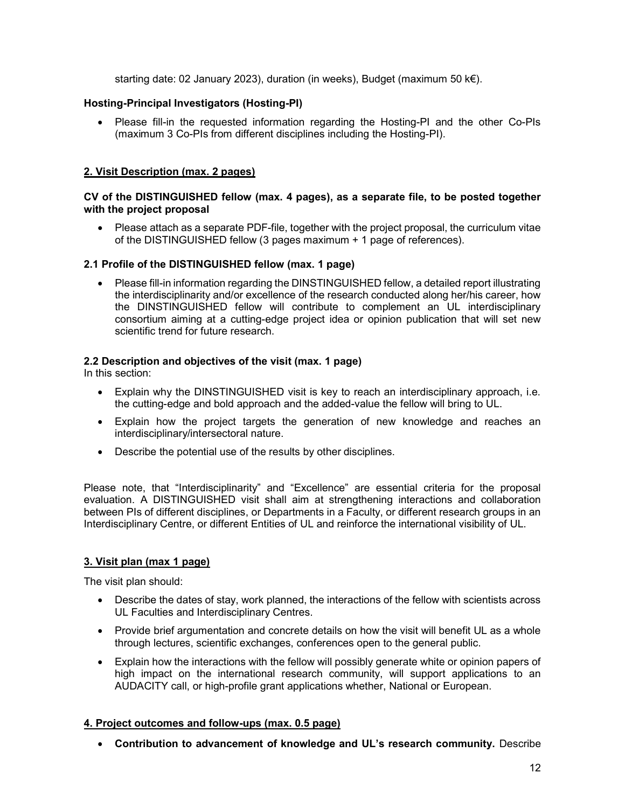starting date: 02 January 2023), duration (in weeks), Budget (maximum 50 k€).

### Hosting-Principal Investigators (Hosting-PI)

 Please fill-in the requested information regarding the Hosting-PI and the other Co-PIs (maximum 3 Co-PIs from different disciplines including the Hosting-PI).

### 2. Visit Description (max. 2 pages)

### CV of the DISTINGUISHED fellow (max. 4 pages), as a separate file, to be posted together with the project proposal

 Please attach as a separate PDF-file, together with the project proposal, the curriculum vitae of the DISTINGUISHED fellow (3 pages maximum + 1 page of references).

### 2.1 Profile of the DISTINGUISHED fellow (max. 1 page)

 Please fill-in information regarding the DINSTINGUISHED fellow, a detailed report illustrating the interdisciplinarity and/or excellence of the research conducted along her/his career, how the DINSTINGUISHED fellow will contribute to complement an UL interdisciplinary consortium aiming at a cutting-edge project idea or opinion publication that will set new scientific trend for future research.

### 2.2 Description and objectives of the visit (max. 1 page)

In this section:

- Explain why the DINSTINGUISHED visit is key to reach an interdisciplinary approach, i.e. the cutting-edge and bold approach and the added-value the fellow will bring to UL.
- Explain how the project targets the generation of new knowledge and reaches an interdisciplinary/intersectoral nature.
- Describe the potential use of the results by other disciplines.

Please note, that "Interdisciplinarity" and "Excellence" are essential criteria for the proposal evaluation. A DISTINGUISHED visit shall aim at strengthening interactions and collaboration between PIs of different disciplines, or Departments in a Faculty, or different research groups in an Interdisciplinary Centre, or different Entities of UL and reinforce the international visibility of UL.

### 3. Visit plan (max 1 page)

The visit plan should:

- Describe the dates of stay, work planned, the interactions of the fellow with scientists across UL Faculties and Interdisciplinary Centres.
- Provide brief argumentation and concrete details on how the visit will benefit UL as a whole through lectures, scientific exchanges, conferences open to the general public.
- Explain how the interactions with the fellow will possibly generate white or opinion papers of high impact on the international research community, will support applications to an AUDACITY call, or high-profile grant applications whether, National or European.

### 4. Project outcomes and follow-ups (max. 0.5 page)

Contribution to advancement of knowledge and UL's research community. Describe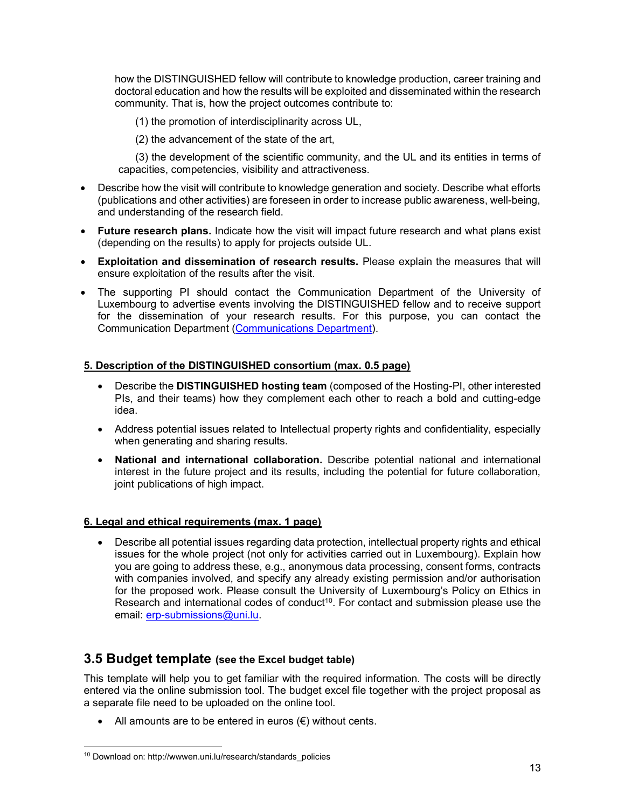how the DISTINGUISHED fellow will contribute to knowledge production, career training and doctoral education and how the results will be exploited and disseminated within the research community. That is, how the project outcomes contribute to:

(1) the promotion of interdisciplinarity across UL,

(2) the advancement of the state of the art,

 (3) the development of the scientific community, and the UL and its entities in terms of capacities, competencies, visibility and attractiveness.

- Describe how the visit will contribute to knowledge generation and society. Describe what efforts (publications and other activities) are foreseen in order to increase public awareness, well-being, and understanding of the research field.
- Future research plans. Indicate how the visit will impact future research and what plans exist (depending on the results) to apply for projects outside UL.
- Exploitation and dissemination of research results. Please explain the measures that will ensure exploitation of the results after the visit.
- The supporting PI should contact the Communication Department of the University of Luxembourg to advertise events involving the DISTINGUISHED fellow and to receive support for the dissemination of your research results. For this purpose, you can contact the Communication Department (Communications Department).

### 5. Description of the DISTINGUISHED consortium (max. 0.5 page)

- Describe the DISTINGUISHED hosting team (composed of the Hosting-PI, other interested PIs, and their teams) how they complement each other to reach a bold and cutting-edge idea.
- Address potential issues related to Intellectual property rights and confidentiality, especially when generating and sharing results.
- National and international collaboration. Describe potential national and international interest in the future project and its results, including the potential for future collaboration, joint publications of high impact.

### 6. Legal and ethical requirements (max. 1 page)

 Describe all potential issues regarding data protection, intellectual property rights and ethical issues for the whole project (not only for activities carried out in Luxembourg). Explain how you are going to address these, e.g., anonymous data processing, consent forms, contracts with companies involved, and specify any already existing permission and/or authorisation for the proposed work. Please consult the University of Luxembourg's Policy on Ethics in Research and international codes of conduct<sup>10</sup>. For contact and submission please use the email: erp-submissions@uni.lu.

## 3.5 Budget template (see the Excel budget table)

This template will help you to get familiar with the required information. The costs will be directly entered via the online submission tool. The budget excel file together with the project proposal as a separate file need to be uploaded on the online tool.

• All amounts are to be entered in euros  $(\epsilon)$  without cents.

l 10 Download on: http://wwwen.uni.lu/research/standards\_policies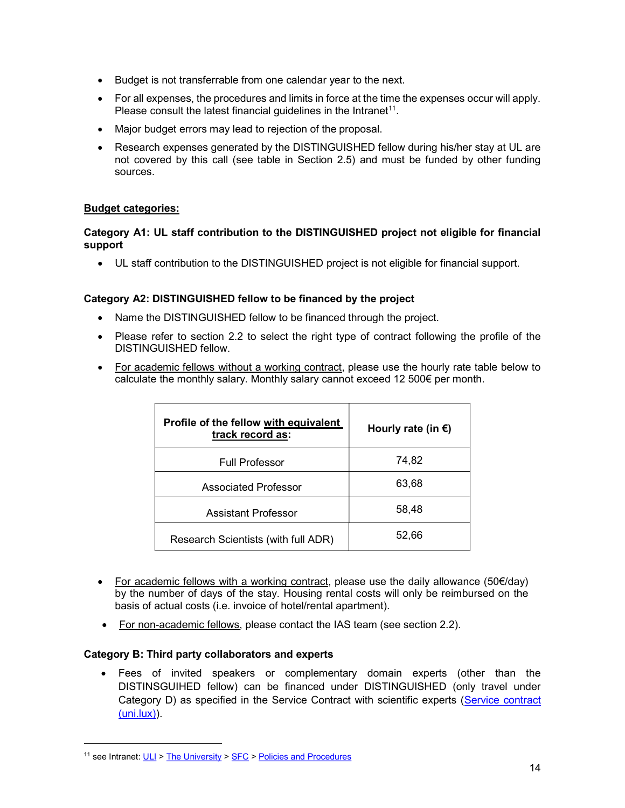- Budget is not transferrable from one calendar year to the next.
- For all expenses, the procedures and limits in force at the time the expenses occur will apply. Please consult the latest financial guidelines in the Intranet<sup>11</sup>.
- Major budget errors may lead to rejection of the proposal.
- Research expenses generated by the DISTINGUISHED fellow during his/her stay at UL are not covered by this call (see table in Section 2.5) and must be funded by other funding sources.

#### Budget categories:

#### Category A1: UL staff contribution to the DISTINGUISHED project not eligible for financial support

UL staff contribution to the DISTINGUISHED project is not eligible for financial support.

#### Category A2: DISTINGUISHED fellow to be financed by the project

- Name the DISTINGUISHED fellow to be financed through the project.
- Please refer to section 2.2 to select the right type of contract following the profile of the DISTINGUISHED fellow.
- For academic fellows without a working contract, please use the hourly rate table below to calculate the monthly salary. Monthly salary cannot exceed 12 500€ per month.

| Profile of the fellow with equivalent<br>track record as: | Hourly rate (in $\epsilon$ ) |
|-----------------------------------------------------------|------------------------------|
| <b>Full Professor</b>                                     | 74,82                        |
| <b>Associated Professor</b>                               | 63,68                        |
| <b>Assistant Professor</b>                                | 58,48                        |
| Research Scientists (with full ADR)                       | 52,66                        |

- For academic fellows with a working contract, please use the daily allowance (50 $\epsilon$ /day) by the number of days of the stay. Housing rental costs will only be reimbursed on the basis of actual costs (i.e. invoice of hotel/rental apartment).
- For non-academic fellows, please contact the IAS team (see section 2.2).

### Category B: Third party collaborators and experts

 Fees of invited speakers or complementary domain experts (other than the DISTINSGUIHED fellow) can be financed under DISTINGUISHED (only travel under Category D) as specified in the Service Contract with scientific experts (Service contract (uni.lux)).

-

<sup>&</sup>lt;sup>11</sup> see Intranet: ULI > The University > SFC > Policies and Procedures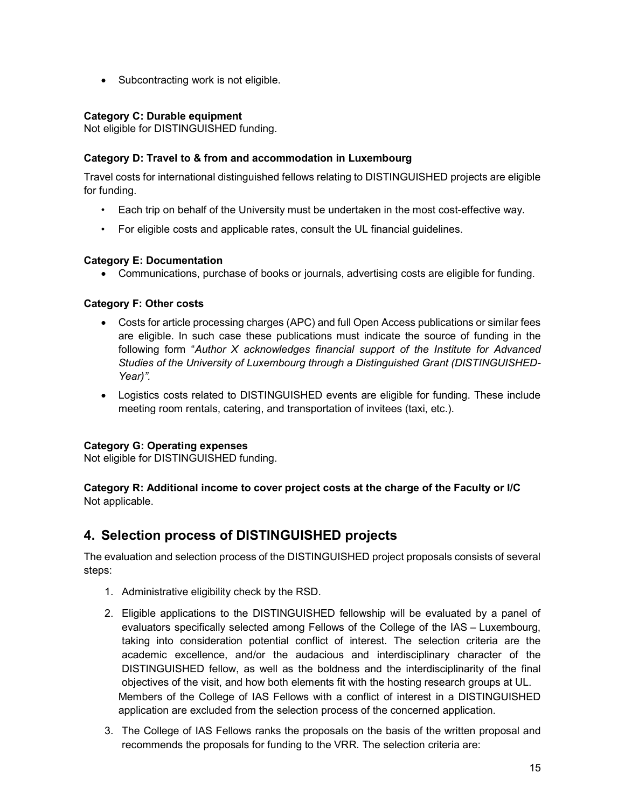• Subcontracting work is not eligible.

### Category C: Durable equipment

Not eligible for DISTINGUISHED funding.

### Category D: Travel to & from and accommodation in Luxembourg

Travel costs for international distinguished fellows relating to DISTINGUISHED projects are eligible for funding.

- Each trip on behalf of the University must be undertaken in the most cost-effective way.
- For eligible costs and applicable rates, consult the UL financial guidelines.

### Category E: Documentation

Communications, purchase of books or journals, advertising costs are eligible for funding.

### Category F: Other costs

- Costs for article processing charges (APC) and full Open Access publications or similar fees are eligible. In such case these publications must indicate the source of funding in the following form "Author  $X$  acknowledges financial support of the Institute for Advanced Studies of the University of Luxembourg through a Distinguished Grant (DISTINGUISHED-Year)".
- Logistics costs related to DISTINGUISHED events are eligible for funding. These include meeting room rentals, catering, and transportation of invitees (taxi, etc.).

### Category G: Operating expenses

Not eligible for DISTINGUISHED funding.

### Category R: Additional income to cover project costs at the charge of the Faculty or I/C Not applicable.

## 4. Selection process of DISTINGUISHED projects

The evaluation and selection process of the DISTINGUISHED project proposals consists of several steps:

- 1. Administrative eligibility check by the RSD.
- 2. Eligible applications to the DISTINGUISHED fellowship will be evaluated by a panel of evaluators specifically selected among Fellows of the College of the IAS – Luxembourg, taking into consideration potential conflict of interest. The selection criteria are the academic excellence, and/or the audacious and interdisciplinary character of the DISTINGUISHED fellow, as well as the boldness and the interdisciplinarity of the final objectives of the visit, and how both elements fit with the hosting research groups at UL. Members of the College of IAS Fellows with a conflict of interest in a DISTINGUISHED application are excluded from the selection process of the concerned application.
- 3. The College of IAS Fellows ranks the proposals on the basis of the written proposal and recommends the proposals for funding to the VRR. The selection criteria are: